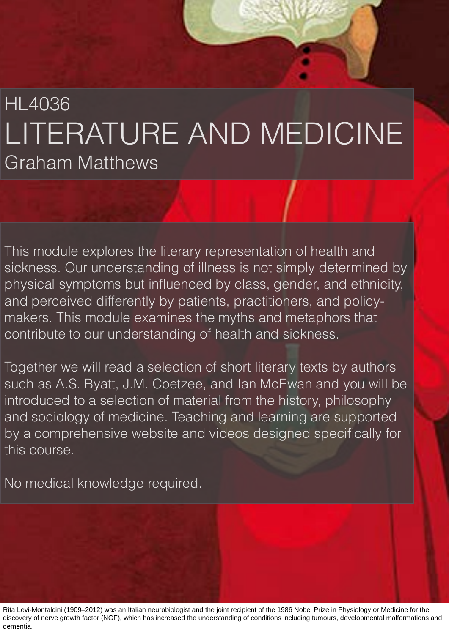## HL4036 LITERATURE AND MEDICINE Graham Matthews

This module explores the literary representation of health and sickness. Our understanding of illness is not simply determined by physical symptoms but influenced by class, gender, and ethnicity, and perceived differently by patients, practitioners, and policymakers. This module examines the myths and metaphors that contribute to our understanding of health and sickness.

Together we will read a selection of short literary texts by authors such as A.S. Byatt, J.M. Coetzee, and Ian McEwan and you will be introduced to a selection of material from the history, philosophy and sociology of medicine. Teaching and learning are supported by a comprehensive website and videos designed specifically for this course.

No medical knowledge required.

Rita Levi-Montalcini (1909–2012) was an Italian neurobiologist and the joint recipient of the 1986 Nobel Prize in Physiology or Medicine for the discovery of nerve growth factor (NGF), which has increased the understanding of conditions including tumours, developmental malformations and dementia.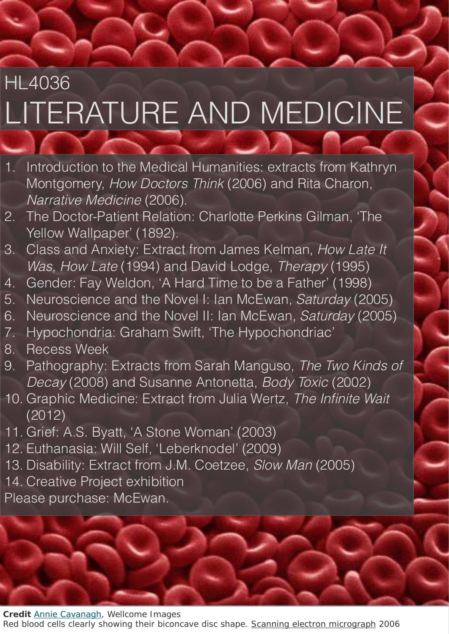# HL4036 LITERATURE AND MEDICINE

- 1. Introduction to the Medical Humanities: extracts from Kathryn Montgomery, *How Doctors Think* (2006) and Rita Charon, *Narrative Medicine* (2006).
- 2. The Doctor-Patient Relation: Charlotte Perkins Gilman, 'The Yellow Wallpaper' (1892).
- 3. Class and Anxiety: Extract from James Kelman, *How Late It Was, How Late* (1994) and David Lodge, *Therapy* (1995)
- 4. Gender: Fay Weldon, 'A Hard Time to be a Father' (1998)
- 5. Neuroscience and the Novel I: Ian McEwan, *Saturday* (2005)
- 6. Neuroscience and the Novel II: Ian McEwan, *Saturday* (2005)
- 7. Hypochondria: Graham Swift, 'The Hypochondriac'
- 8. Recess Week
- 9. Pathography: Extracts from Sarah Manguso, *The Two Kinds of Decay* (2008) and Susanne Antonetta, *Body Toxic* (2002)
- 10. Graphic Medicine: Extract from Julia Wertz, *The Infinite Wait*  (2012)
- 11. Grief: A.S. Byatt, 'A Stone Woman' (2003)
- 12. Euthanasia: Will Self, 'Leberknodel' (2009)
- 13. Disability: Extract from J.M. Coetzee, *Slow Man* (2005)
- 14. Creative Project exhibition

Please purchase: McEwan.

**Credit** [Annie Cavanagh](https://wellcomeimages.org/indexplus/result.html?wi_credit_line%3atext=%22Annie%20Cavanagh%22&%24%3dsort=sort%20sortexpr%20image_sort&%2asform=wellcome-images&_IXACTION_=query&_IXFIRST_=1&_IXSPFX_=templates%2fb&_IXFPFX_=templates%2ft&%24%20with%20image_sort=.), Wellcome Images

Red blood cells clearly showing their biconcave disc shape. [Scanning electron micrograph](https://wellcomeimages.org/indexplus/result.html?wi_technique%3atext=%22Scanning%20electron%20micrograph%22&%24%3dsort=sort%20sortexpr%20image_sort&%2asform=wellcome-images&_IXACTION_=query&_IXFIRST_=1&_IXSPFX_=templates%2fb&_IXFPFX_=templates%2ft&%24%20with%20image_sort=.) 2006